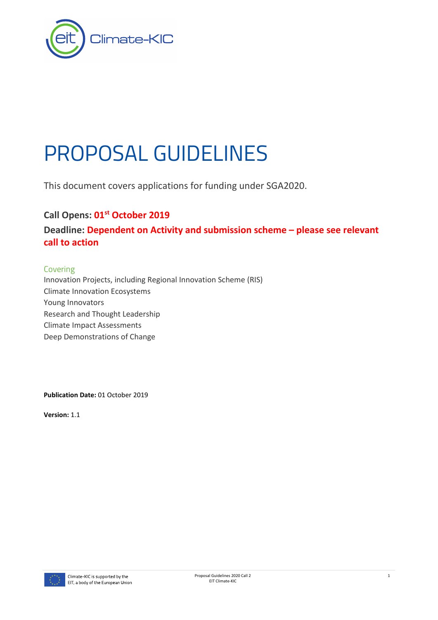

# PROPOSAL GUIDELINES

This document covers applications for funding under SGA2020.

# **Call Opens: 01st October 2019**

**Deadline: Dependent on Activity and submission scheme – please see relevant call to action**

## Covering

Innovation Projects, including Regional Innovation Scheme (RIS) Climate Innovation Ecosystems Young Innovators Research and Thought Leadership Climate Impact Assessments Deep Demonstrations of Change

**Publication Date:** 01 October 2019

**Version:** 1.1

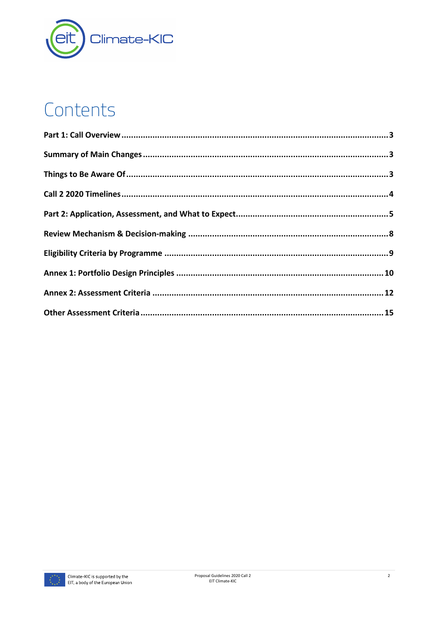

# Contents

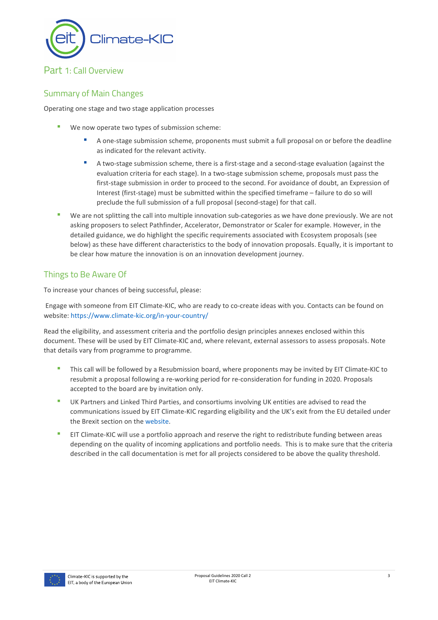

# <span id="page-2-0"></span>Part 1: Call Overview

# <span id="page-2-1"></span>Summary of Main Changes

Operating one stage and two stage application processes

- We now operate two types of submission scheme:
	- A one-stage submission scheme, proponents must submit a full proposal on or before the deadline as indicated for the relevant activity.
	- A two-stage submission scheme, there is a first-stage and a second-stage evaluation (against the evaluation criteria for each stage). In a two-stage submission scheme, proposals must pass the first-stage submission in order to proceed to the second. For avoidance of doubt, an Expression of Interest (first-stage) must be submitted within the specified timeframe – failure to do so will preclude the full submission of a full proposal (second-stage) for that call.
- We are not splitting the call into multiple innovation sub-categories as we have done previously. We are not asking proposers to select Pathfinder, Accelerator, Demonstrator or Scaler for example. However, in the detailed guidance, we do highlight the specific requirements associated with Ecosystem proposals (see below) as these have different characteristics to the body of innovation proposals. Equally, it is important to be clear how mature the innovation is on an innovation development journey.

# <span id="page-2-2"></span>Things to Be Aware Of

To increase your chances of being successful, please:

Engage with someone from EIT Climate-KIC, who are ready to co-create ideas with you. Contacts can be found on website:<https://www.climate-kic.org/in-your-country/>

Read the eligibility, and assessment criteria and the portfolio design principles annexes enclosed within this document. These will be used by EIT Climate-KIC and, where relevant, external assessors to assess proposals. Note that details vary from programme to programme.

- This call will be followed by a Resubmission board, where proponents may be invited by EIT Climate-KIC to resubmit a proposal following a re-working period for re-consideration for funding in 2020. Proposals accepted to the board are by invitation only.
- UK Partners and Linked Third Parties, and consortiums involving UK entities are advised to read the communications issued by EIT Climate-KIC regarding eligibility and the UK's exit from the EU detailed under the Brexit section on th[e website.](https://www.climate-kic.org/partner-information-page/)
- EIT Climate-KIC will use a portfolio approach and reserve the right to redistribute funding between areas depending on the quality of incoming applications and portfolio needs. This is to make sure that the criteria described in the call documentation is met for all projects considered to be above the quality threshold.

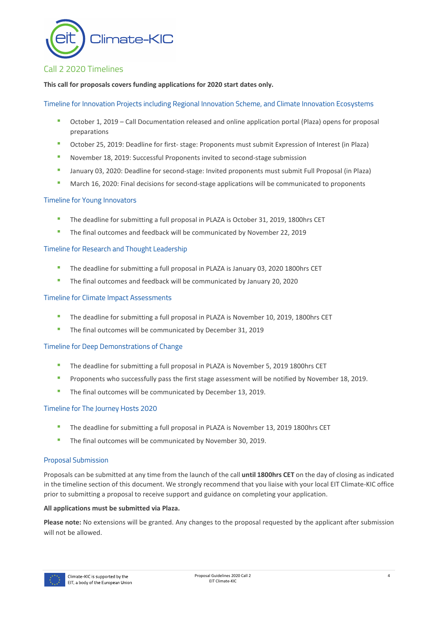

# <span id="page-3-0"></span>Call 2 2020 Timelines

#### **This call for proposals covers funding applications for 2020 start dates only.**

Timeline for Innovation Projects including Regional Innovation Scheme, and Climate Innovation Ecosystems

- October 1, 2019 Call Documentation released and online application portal (Plaza) opens for proposal preparations
- October 25, 2019: Deadline for first- stage: Proponents must submit Expression of Interest (in Plaza)
- November 18, 2019: Successful Proponents invited to second-stage submission
- **■** January 03, 2020: Deadline for second-stage: Invited proponents must submit Full Proposal (in Plaza)
- March 16, 2020: Final decisions for second-stage applications will be communicated to proponents

#### Timeline for Young Innovators

- The deadline for submitting a full proposal in PLAZA is October 31, 2019, 1800hrs CET
- The final outcomes and feedback will be communicated by November 22, 2019

#### Timeline for Research and Thought Leadership

- The deadline for submitting a full proposal in PLAZA is January 03, 2020 1800hrs CET
- The final outcomes and feedback will be communicated by January 20, 2020

#### Timeline for Climate Impact Assessments

- The deadline for submitting a full proposal in PLAZA is November 10, 2019, 1800hrs CET
- The final outcomes will be communicated by December 31, 2019

#### Timeline for Deep Demonstrations of Change

- The deadline for submitting a full proposal in PLAZA is November 5, 2019 1800hrs CET
- Proponents who successfully pass the first stage assessment will be notified by November 18, 2019.
- The final outcomes will be communicated by December 13, 2019.

#### Timeline for The Journey Hosts 2020

- The deadline for submitting a full proposal in PLAZA is November 13, 2019 1800hrs CET
- The final outcomes will be communicated by November 30, 2019.

#### Proposal Submission

Proposals can be submitted at any time from the launch of the call **until 1800hrs CET** on the day of closing as indicated in the timeline section of this document. We strongly recommend that you liaise with your local EIT Climate-KIC office prior to submitting a proposal to receive support and guidance on completing your application.

#### **All applications must be submitted via Plaza.**

**Please note:** No extensions will be granted. Any changes to the proposal requested by the applicant after submission will not be allowed.

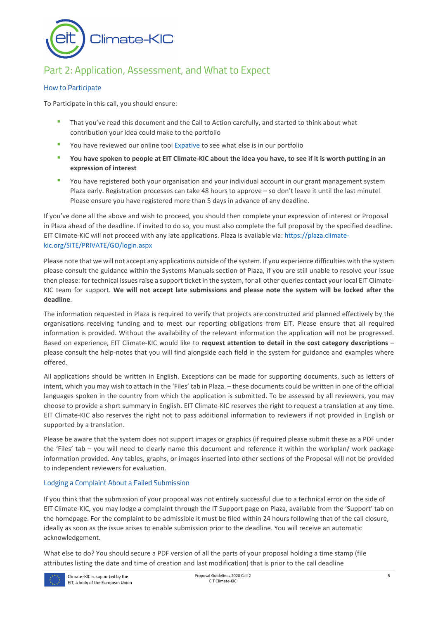

# <span id="page-4-0"></span>Part 2: Application, Assessment, and What to Expect

#### How to Participate

To Participate in this call, you should ensure:

- That you've read this document and the Call to Action carefully, and started to think about what contribution your idea could make to the portfolio
- You have reviewed our online tool [Expative](https://climate-kic-community.cognitive.city/cognitive) to see what else is in our portfolio
- **You have spoken to people at EIT Climate-KIC about the idea you have, to see if it is worth putting in an expression of interest**
- You have registered both your organisation and your individual account in our grant management system Plaza early. Registration processes can take 48 hours to approve – so don't leave it until the last minute! Please ensure you have registered more than 5 days in advance of any deadline.

If you've done all the above and wish to proceed, you should then complete your expression of interest or Proposal in Plaza ahead of the deadline. If invited to do so, you must also complete the full proposal by the specified deadline. EIT Climate-KIC will not proceed with any late applications. Plaza is available via[: https://plaza.climate](https://plaza.climate-kic.org/SITE/PRIVATE/GO/login.aspx)[kic.org/SITE/PRIVATE/GO/login.aspx](https://plaza.climate-kic.org/SITE/PRIVATE/GO/login.aspx)

Please note that we will not accept any applications outside of the system. If you experience difficulties with the system please consult the guidance within the Systems Manuals section of Plaza, if you are still unable to resolve your issue then please: for technical issues raise a support ticket in the system, for all other queries contact your local EIT Climate-KIC team for support. **We will not accept late submissions and please note the system will be locked after the deadline**.

The information requested in Plaza is required to verify that projects are constructed and planned effectively by the organisations receiving funding and to meet our reporting obligations from EIT. Please ensure that all required information is provided. Without the availability of the relevant information the application will not be progressed. Based on experience, EIT Climate-KIC would like to **request attention to detail in the cost category descriptions** – please consult the help-notes that you will find alongside each field in the system for guidance and examples where offered.

All applications should be written in English. Exceptions can be made for supporting documents, such as letters of intent, which you may wish to attach in the 'Files' tab in Plaza. – these documents could be written in one of the official languages spoken in the country from which the application is submitted. To be assessed by all reviewers, you may choose to provide a short summary in English. EIT Climate-KIC reserves the right to request a translation at any time. EIT Climate-KIC also reserves the right not to pass additional information to reviewers if not provided in English or supported by a translation.

Please be aware that the system does not support images or graphics (if required please submit these as a PDF under the 'Files' tab – you will need to clearly name this document and reference it within the workplan/ work package information provided. Any tables, graphs, or images inserted into other sections of the Proposal will not be provided to independent reviewers for evaluation.

#### Lodging a Complaint About a Failed Submission

If you think that the submission of your proposal was not entirely successful due to a technical error on the side of EIT Climate-KIC, you may lodge a complaint through the IT Support page on Plaza, available from the 'Support' tab on the homepage. For the complaint to be admissible it must be filed within 24 hours following that of the call closure, ideally as soon as the issue arises to enable submission prior to the deadline. You will receive an automatic acknowledgement.

What else to do? You should secure a PDF version of all the parts of your proposal holding a time stamp (file attributes listing the date and time of creation and last modification) that is prior to the call deadline

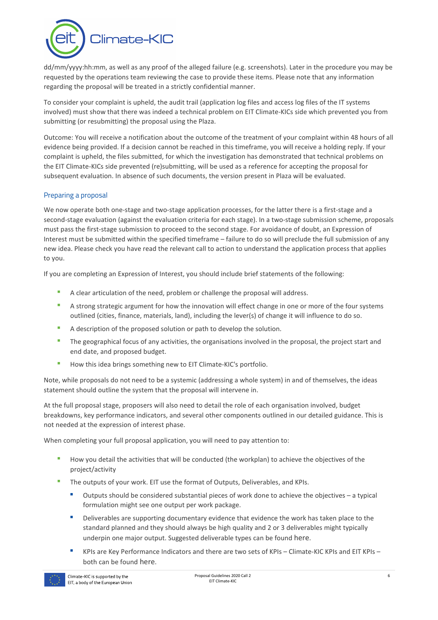

dd/mm/yyyy:hh:mm, as well as any proof of the alleged failure (e.g. screenshots). Later in the procedure you may be requested by the operations team reviewing the case to provide these items. Please note that any information regarding the proposal will be treated in a strictly confidential manner.

To consider your complaint is upheld, the audit trail (application log files and access log files of the IT systems involved) must show that there was indeed a technical problem on EIT Climate-KICs side which prevented you from submitting (or resubmitting) the proposal using the Plaza.

Outcome: You will receive a notification about the outcome of the treatment of your complaint within 48 hours of all evidence being provided. If a decision cannot be reached in this timeframe, you will receive a holding reply. If your complaint is upheld, the files submitted, for which the investigation has demonstrated that technical problems on the EIT Climate-KICs side prevented (re)submitting, will be used as a reference for accepting the proposal for subsequent evaluation. In absence of such documents, the version present in Plaza will be evaluated.

#### Preparing a proposal

We now operate both one-stage and two-stage application processes, for the latter there is a first-stage and a second-stage evaluation (against the evaluation criteria for each stage). In a two-stage submission scheme, proposals must pass the first-stage submission to proceed to the second stage. For avoidance of doubt, an Expression of Interest must be submitted within the specified timeframe – failure to do so will preclude the full submission of any new idea. Please check you have read the relevant call to action to understand the application process that applies to you.

If you are completing an Expression of Interest, you should include brief statements of the following:

- A clear articulation of the need, problem or challenge the proposal will address.
- **•** A strong strategic argument for how the innovation will effect change in one or more of the four systems outlined (cities, finance, materials, land), including the lever(s) of change it will influence to do so.
- A description of the proposed solution or path to develop the solution.
- The geographical focus of any activities, the organisations involved in the proposal, the project start and end date, and proposed budget.
- How this idea brings something new to EIT Climate-KIC's portfolio.

Note, while proposals do not need to be a systemic (addressing a whole system) in and of themselves, the ideas statement should outline the system that the proposal will intervene in.

At the full proposal stage, proposers will also need to detail the role of each organisation involved, budget breakdowns, key performance indicators, and several other components outlined in our detailed guidance. This is not needed at the expression of interest phase.

When completing your full proposal application, you will need to pay attention to:

- How you detail the activities that will be conducted (the workplan) to achieve the objectives of the project/activity
- The outputs of your work. EIT use the format of Outputs, Deliverables, and KPIs.
	- Outputs should be considered substantial pieces of work done to achieve the objectives a typical formulation might see one output per work package.
	- Deliverables are supporting documentary evidence that evidence the work has taken place to the standard planned and they should always be high quality and 2 or 3 deliverables might typically underpin one major output. Suggested deliverable types can be found [here.](https://www.climate-kic.org/wp-content/uploads/2019/02/C-KIC_Reporting-Guidance-for-Partner.pdf)
	- KPIs are Key Performance Indicators and there are two sets of KPIs Climate-KIC KPIs and EIT KPIs both can be found [here.](https://www.climate-kic.org/wp-content/uploads/2019/02/EIT-and-Climate-KIC-KPIs-2018-and-2019.pdf)

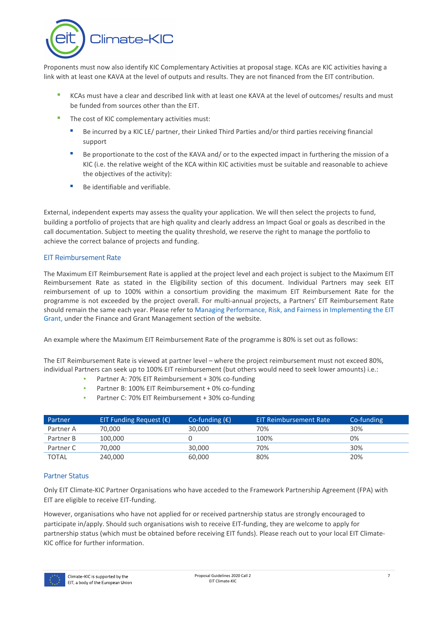

Proponents must now also identify KIC Complementary Activities at proposal stage. KCAs are KIC activities having a link with at least one KAVA at the level of outputs and results. They are not financed from the EIT contribution.

- KCAs must have a clear and described link with at least one KAVA at the level of outcomes/ results and must be funded from sources other than the EIT.
- The cost of KIC complementary activities must:
	- Be incurred by a KIC LE/ partner, their Linked Third Parties and/or third parties receiving financial support
	- Be proportionate to the cost of the KAVA and/ or to the expected impact in furthering the mission of a KIC (i.e. the relative weight of the KCA within KIC activities must be suitable and reasonable to achieve the objectives of the activity):
	- Be identifiable and verifiable.

External, independent experts may assess the quality your application. We will then select the projects to fund, building a portfolio of projects that are high quality and clearly address an Impact Goal or goals as described in the call documentation. Subject to meeting the quality threshold, we reserve the right to manage the portfolio to achieve the correct balance of projects and funding.

#### EIT Reimbursement Rate

The Maximum EIT Reimbursement Rate is applied at the project level and each project is subject to the Maximum EIT Reimbursement Rate as stated in the Eligibility section of this document. Individual Partners may seek EIT reimbursement of up to 100% within a consortium providing the maximum EIT Reimbursement Rate for the programme is not exceeded by the project overall. For multi-annual projects, a Partners' EIT Reimbursement Rate should remain the same each year. Please refer to [Managing Performance, Risk, and Fairness in Implementing the EIT](https://www.climate-kic.org/wp-content/uploads/2019/01/Policy-Note-Managing-Performance-Risk-Fairness-in-Implementing-EIT-Grant-v18b.pdf)  [Grant, u](https://www.climate-kic.org/wp-content/uploads/2019/01/Policy-Note-Managing-Performance-Risk-Fairness-in-Implementing-EIT-Grant-v18b.pdf)nder the Finance and Grant Management section of the website.

An example where the Maximum EIT Reimbursement Rate of the programme is 80% is set out as follows:

The EIT Reimbursement Rate is viewed at partner level – where the project reimbursement must not exceed 80%, individual Partners can seek up to 100% EIT reimbursement (but others would need to seek lower amounts) i.e.:

- Partner A: 70% EIT Reimbursement + 30% co-funding
- Partner B: 100% EIT Reimbursement + 0% co-funding
- Partner C: 70% EIT Reimbursement + 30% co-funding

| Partner      | EIT Funding Request $(\epsilon)$ | Co-funding $(\epsilon)$ | EIT Reimbursement Rate | Co-funding |
|--------------|----------------------------------|-------------------------|------------------------|------------|
| Partner A    | 70.000                           | 30,000                  | 70%                    | 30%        |
| Partner B    | 100,000                          |                         | 100%                   | 0%         |
| Partner C    | 70.000                           | 30,000                  | 70%                    | 30%        |
| <b>TOTAL</b> | 240,000                          | 60,000                  | 80%                    | 20%        |

#### Partner Status

Only EIT Climate-KIC Partner Organisations who have acceded to the Framework Partnership Agreement (FPA) with EIT are eligible to receive EIT-funding.

However, organisations who have not applied for or received partnership status are strongly encouraged to participate in/apply. Should such organisations wish to receive EIT-funding, they are welcome to apply for partnership status (which must be obtained before receiving EIT funds). Please reach out to your local EIT Climate-KIC office for further information.

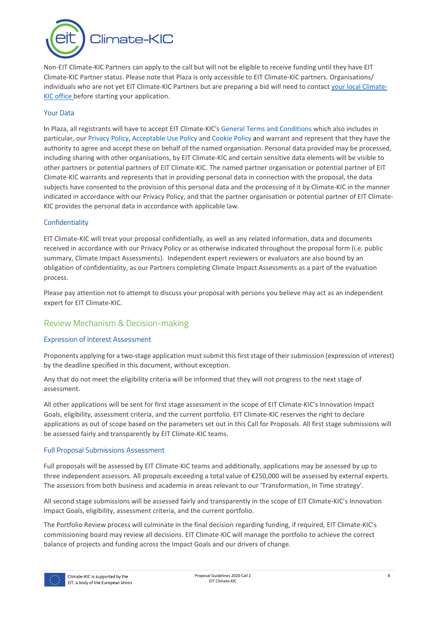$Climate-KIC$ 

Non-EIT Climate-KIC Partners can apply to the call but will not be eligible to receive funding until they have EIT Climate-KIC Partner status. Please note that Plaza is only accessible to EIT Climate-KIC partners. Organisations/ individuals who are not yet EIT Climate-KIC Partners but are preparing a bid will need to contact [your local Climate-](https://www.climate-kic.org/in-your-country/)[KIC office](https://www.climate-kic.org/in-your-country/) before starting your application.

#### Your Data

In Plaza, all registrants will have to accept EIT Climate-KIC's [General Terms and Conditions w](https://www.climate-kic.org/policies/?id=61)hich also includes in particular, our [Privacy Policy,](https://www.climate-kic.org/policies/privacy-policy/) [Acceptable Use Policy](https://www.climate-kic.org/policies/acceptable-use-policy/) and [Cookie Policy](https://www.climate-kic.org/policies/cookie-policy/) and warrant and represent that they have the authority to agree and accept these on behalf of the named organisation. Personal data provided may be processed, including sharing with other organisations, by EIT Climate-KIC and certain sensitive data elements will be visible to other partners or potential partners of EIT Climate-KIC. The named partner organisation or potential partner of EIT Climate-KIC warrants and represents that in providing personal data in connection with the proposal, the data subjects have consented to the provision of this personal data and the processing of it by Climate-KIC in the manner indicated in accordance with our Privacy Policy, and that the partner organisation or potential partner of EIT Climate-KIC provides the personal data in accordance with applicable law.

#### **Confidentiality**

EIT Climate-KIC will treat your proposal confidentially, as well as any related information, data and documents received in accordance with our Privacy Policy or as otherwise indicated throughout the proposal form (i.e. public summary, Climate Impact Assessments). Independent expert reviewers or evaluators are also bound by an obligation of confidentiality, as our Partners completing Climate Impact Assessments as a part of the evaluation process.

Please pay attention not to attempt to discuss your proposal with persons you believe may act as an independent expert for EIT Climate-KIC.

## <span id="page-7-0"></span>Review Mechanism & Decision-making

#### Expression of Interest Assessment

Proponents applying for a two-stage application must submit this first stage of their submission (expression of interest) by the deadline specified in this document, without exception.

Any that do not meet the eligibility criteria will be informed that they will not progress to the next stage of assessment.

All other applications will be sent for first stage assessment in the scope of EIT Climate-KIC's Innovation Impact Goals, eligibility, assessment criteria, and the current portfolio. EIT Climate-KIC reserves the right to declare applications as out of scope based on the parameters set out in this Call for Proposals. All first stage submissions will be assessed fairly and transparently by EIT Climate-KIC teams.

#### Full Proposal Submissions Assessment

Full proposals will be assessed by EIT Climate-KIC teams and additionally, applications may be assessed by up to three independent assessors. All proposals exceeding a total value of €250,000 will be assessed by external experts. The assessors from both business and academia in areas relevant to our 'Transformation, In Time strategy'.

All second stage submissions will be assessed fairly and transparently in the scope of EIT Climate-KIC's Innovation Impact Goals, eligibility, assessment criteria, and the current portfolio.

The Portfolio Review process will culminate in the final decision regarding funding, if required, EIT Climate-KIC's commissioning board may review all decisions. EIT Climate-KIC will manage the portfolio to achieve the correct balance of projects and funding across the Impact Goals and our drivers of change.

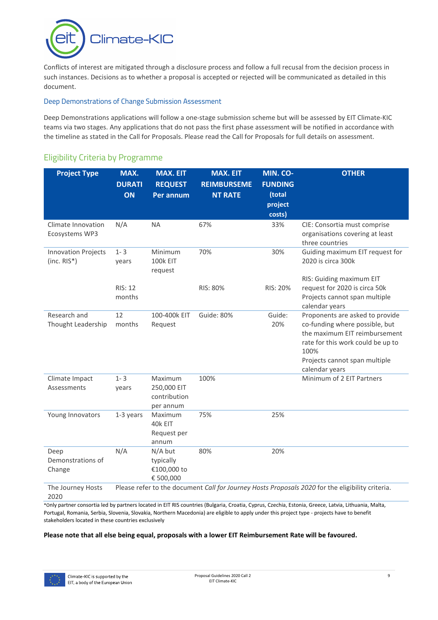

Conflicts of interest are mitigated through a disclosure process and follow a full recusal from the decision process in such instances. Decisions as to whether a proposal is accepted or rejected will be communicated as detailed in this document.

#### Deep Demonstrations of Change Submission Assessment

Deep Demonstrations applications will follow a one-stage submission scheme but will be assessed by EIT Climate-KIC teams via two stages. Any applications that do not pass the first phase assessment will be notified in accordance with the timeline as stated in the Call for Proposals. Please read the Call for Proposals for full details on assessment.

| <b>Project Type</b>                         | MAX.<br><b>DURATI</b><br>ON | <b>MAX. EIT</b><br><b>REQUEST</b><br>Per annum      | <b>MAX. EIT</b><br><b>REIMBURSEME</b><br><b>NT RATE</b> | MIN. CO-<br><b>FUNDING</b><br>(total<br>project<br>costs) | <b>OTHER</b>                                                                                                                                                                                       |
|---------------------------------------------|-----------------------------|-----------------------------------------------------|---------------------------------------------------------|-----------------------------------------------------------|----------------------------------------------------------------------------------------------------------------------------------------------------------------------------------------------------|
| Climate Innovation<br>Ecosystems WP3        | N/A                         | <b>NA</b>                                           | 67%                                                     | 33%                                                       | CIE: Consortia must comprise<br>organisations covering at least<br>three countries                                                                                                                 |
| <b>Innovation Projects</b><br>$(inc. RIS*)$ | $1 - 3$<br>years            | Minimum<br><b>100k EIT</b><br>request               | 70%                                                     | 30%                                                       | Guiding maximum EIT request for<br>2020 is circa 300k                                                                                                                                              |
|                                             | <b>RIS: 12</b><br>months    |                                                     | RIS: 80%                                                | RIS: 20%                                                  | RIS: Guiding maximum EIT<br>request for 2020 is circa 50k<br>Projects cannot span multiple<br>calendar years                                                                                       |
| Research and<br>Thought Leadership          | 12<br>months                | 100-400k EIT<br>Request                             | Guide: 80%                                              | Guide:<br>20%                                             | Proponents are asked to provide<br>co-funding where possible, but<br>the maximum EIT reimbursement<br>rate for this work could be up to<br>100%<br>Projects cannot span multiple<br>calendar years |
| Climate Impact<br>Assessments               | $1 - 3$<br>years            | Maximum<br>250,000 EIT<br>contribution<br>per annum | 100%                                                    |                                                           | Minimum of 2 EIT Partners                                                                                                                                                                          |
| Young Innovators                            | 1-3 years                   | Maximum<br>40k EIT<br>Request per<br>annum          | 75%                                                     | 25%                                                       |                                                                                                                                                                                                    |
| Deep<br>Demonstrations of<br>Change         | N/A                         | N/A but<br>typically<br>€100,000 to<br>€ 500,000    | 80%                                                     | 20%                                                       |                                                                                                                                                                                                    |
| The Journey Hosts<br>2020                   |                             |                                                     |                                                         |                                                           | Please refer to the document Call for Journey Hosts Proposals 2020 for the eligibility criteria.                                                                                                   |

# <span id="page-8-0"></span>Eligibility Criteria by Programme

\*Only partner consortia led by partners located in EIT RIS countries (Bulgaria, Croatia, Cyprus, Czechia, Estonia, Greece, Latvia, Lithuania, Malta, Portugal, Romania, Serbia, Slovenia, Slovakia, Northern Macedonia) are eligible to apply under this project type - projects have to benefit stakeholders located in these countries exclusively

#### **Please note that all else being equal, proposals with a lower EIT Reimbursement Rate will be favoured.**

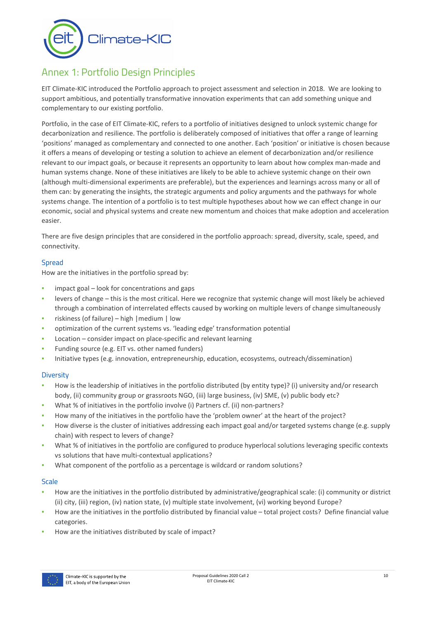

# <span id="page-9-0"></span>Annex 1: Portfolio Design Principles

EIT Climate-KIC introduced the Portfolio approach to project assessment and selection in 2018. We are looking to support ambitious, and potentially transformative innovation experiments that can add something unique and complementary to our existing portfolio.

Portfolio, in the case of EIT Climate-KIC, refers to a portfolio of initiatives designed to unlock systemic change for decarbonization and resilience. The portfolio is deliberately composed of initiatives that offer a range of learning 'positions' managed as complementary and connected to one another. Each 'position' or initiative is chosen because it offers a means of developing or testing a solution to achieve an element of decarbonization and/or resilience relevant to our impact goals, or because it represents an opportunity to learn about how complex man-made and human systems change. None of these initiatives are likely to be able to achieve systemic change on their own (although multi-dimensional experiments are preferable), but the experiences and learnings across many or all of them can: by generating the insights, the strategic arguments and policy arguments and the pathways for whole systems change. The intention of a portfolio is to test multiple hypotheses about how we can effect change in our economic, social and physical systems and create new momentum and choices that make adoption and acceleration easier.

There are five design principles that are considered in the portfolio approach: spread, diversity, scale, speed, and connectivity.

#### Spread

How are the initiatives in the portfolio spread by:

- impact goal look for concentrations and gaps
- levers of change this is the most critical. Here we recognize that systemic change will most likely be achieved through a combination of interrelated effects caused by working on multiple levers of change simultaneously
- riskiness (of failure) high | medium | low
- optimization of the current systems vs. 'leading edge' transformation potential
- Location consider impact on place-specific and relevant learning
- Funding source (e.g. EIT vs. other named funders)
- Initiative types (e.g. innovation, entrepreneurship, education, ecosystems, outreach/dissemination)

#### **Diversity**

- How is the leadership of initiatives in the portfolio distributed (by entity type)? (i) university and/or research body, (ii) community group or grassroots NGO, (iii) large business, (iv) SME, (v) public body etc?
- What % of initiatives in the portfolio involve (i) Partners cf. (ii) non-partners?
- How many of the initiatives in the portfolio have the 'problem owner' at the heart of the project?
- How diverse is the cluster of initiatives addressing each impact goal and/or targeted systems change (e.g. supply chain) with respect to levers of change?
- What % of initiatives in the portfolio are configured to produce hyperlocal solutions leveraging specific contexts vs solutions that have multi-contextual applications?
- What component of the portfolio as a percentage is wildcard or random solutions?

#### **Scale**

- How are the initiatives in the portfolio distributed by administrative/geographical scale: (i) community or district (ii) city, (iii) region, (iv) nation state, (v) multiple state involvement, (vi) working beyond Europe?
- How are the initiatives in the portfolio distributed by financial value total project costs? Define financial value categories.
- How are the initiatives distributed by scale of impact?

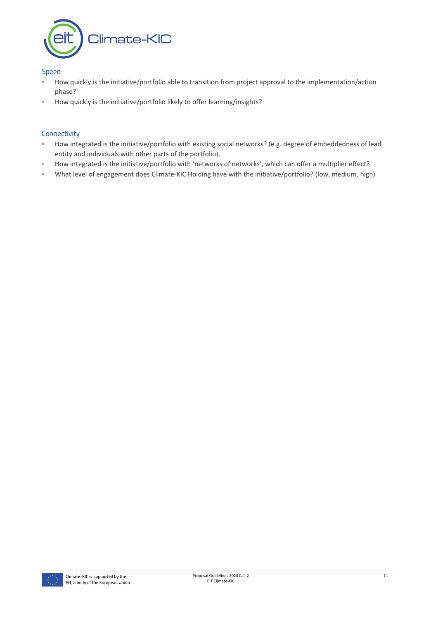

#### Speed

- How quickly is the initiative/portfolio able to transition from project approval to the implementation/action phase?
- How quickly is the initiative/portfolio likely to offer learning/insights?

#### **Connectivity**

- How integrated is the initiative/portfolio with existing social networks? (e.g. degree of embeddedness of lead entity and individuals with other parts of the portfolio).
- How integrated is the initiative/portfolio with 'networks of networks', which can offer a multiplier effect?
- What level of engagement does Climate-KIC Holding have with the initiative/portfolio? (low, medium, high)

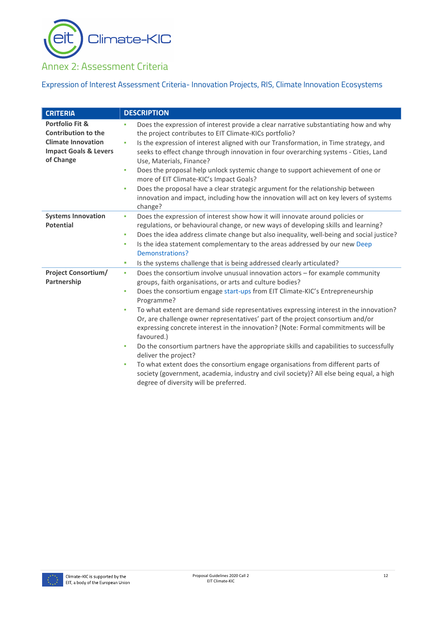Climate-KIC 91

# <span id="page-11-0"></span>Annex 2: Assessment Criteria

# Expression of Interest Assessment Criteria- Innovation Projects, RIS, Climate Innovation Ecosystems

| <b>CRITERIA</b>                                                                                                                        | <b>DESCRIPTION</b>                                                                                                                                                                                                                                                                                                                                                                                                                                                                                                                                                                                                                                                                                                                                                                                                                                                                                      |
|----------------------------------------------------------------------------------------------------------------------------------------|---------------------------------------------------------------------------------------------------------------------------------------------------------------------------------------------------------------------------------------------------------------------------------------------------------------------------------------------------------------------------------------------------------------------------------------------------------------------------------------------------------------------------------------------------------------------------------------------------------------------------------------------------------------------------------------------------------------------------------------------------------------------------------------------------------------------------------------------------------------------------------------------------------|
| <b>Portfolio Fit &amp;</b><br><b>Contribution to the</b><br><b>Climate Innovation</b><br><b>Impact Goals &amp; Levers</b><br>of Change | Does the expression of interest provide a clear narrative substantiating how and why<br>×.<br>the project contributes to EIT Climate-KICs portfolio?<br>Is the expression of interest aligned with our Transformation, in Time strategy, and<br>à,<br>seeks to effect change through innovation in four overarching systems - Cities, Land<br>Use, Materials, Finance?<br>Does the proposal help unlock systemic change to support achievement of one or<br>à,<br>more of EIT Climate-KIC's Impact Goals?<br>Does the proposal have a clear strategic argument for the relationship between<br>à,<br>innovation and impact, including how the innovation will act on key levers of systems<br>change?                                                                                                                                                                                                   |
| <b>Systems Innovation</b><br><b>Potential</b>                                                                                          | Does the expression of interest show how it will innovate around policies or<br>a,<br>regulations, or behavioural change, or new ways of developing skills and learning?<br>Does the idea address climate change but also inequality, well-being and social justice?<br>à,<br>Is the idea statement complementary to the areas addressed by our new Deep<br>×<br>Demonstrations?<br>Is the systems challenge that is being addressed clearly articulated?<br>٠                                                                                                                                                                                                                                                                                                                                                                                                                                          |
| <b>Project Consortium/</b><br>Partnership                                                                                              | Does the consortium involve unusual innovation actors - for example community<br>$\mathbf{u}$<br>groups, faith organisations, or arts and culture bodies?<br>Does the consortium engage start-ups from EIT Climate-KIC's Entrepreneurship<br>à,<br>Programme?<br>To what extent are demand side representatives expressing interest in the innovation?<br>٠<br>Or, are challenge owner representatives' part of the project consortium and/or<br>expressing concrete interest in the innovation? (Note: Formal commitments will be<br>favoured.)<br>Do the consortium partners have the appropriate skills and capabilities to successfully<br>×<br>deliver the project?<br>To what extent does the consortium engage organisations from different parts of<br>×,<br>society (government, academia, industry and civil society)? All else being equal, a high<br>degree of diversity will be preferred. |

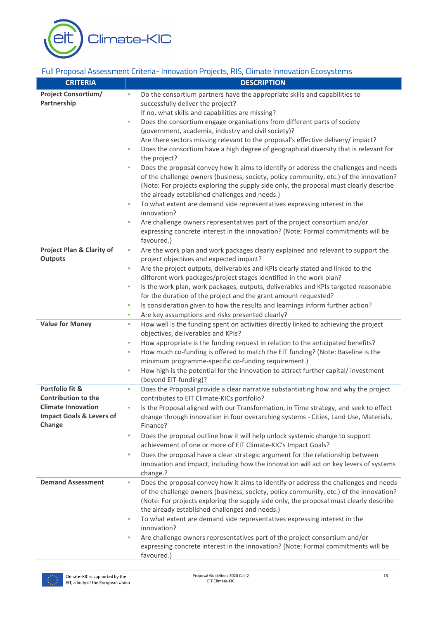Climate-KIC

# Full Proposal Assessment Criteria- Innovation Projects, RIS, Climate Innovation Ecosystems

| <b>CRITERIA</b>                                                  | <b>DESCRIPTION</b>                                                                                                                              |
|------------------------------------------------------------------|-------------------------------------------------------------------------------------------------------------------------------------------------|
| <b>Project Consortium/</b>                                       | Do the consortium partners have the appropriate skills and capabilities to                                                                      |
| Partnership                                                      | successfully deliver the project?                                                                                                               |
|                                                                  | If no, what skills and capabilities are missing?                                                                                                |
|                                                                  | Does the consortium engage organisations from different parts of society<br>٠                                                                   |
|                                                                  | (government, academia, industry and civil society)?                                                                                             |
|                                                                  | Are there sectors missing relevant to the proposal's effective delivery/ impact?                                                                |
|                                                                  | Does the consortium have a high degree of geographical diversity that is relevant for<br>×,<br>the project?                                     |
|                                                                  | Does the proposal convey how it aims to identify or address the challenges and needs                                                            |
|                                                                  | of the challenge owners (business, society, policy community, etc.) of the innovation?                                                          |
|                                                                  | (Note: For projects exploring the supply side only, the proposal must clearly describe                                                          |
|                                                                  | the already established challenges and needs.)                                                                                                  |
|                                                                  | To what extent are demand side representatives expressing interest in the<br>×,<br>innovation?                                                  |
|                                                                  | Are challenge owners representatives part of the project consortium and/or<br>ш                                                                 |
|                                                                  | expressing concrete interest in the innovation? (Note: Formal commitments will be<br>favoured.)                                                 |
| <b>Project Plan &amp; Clarity of</b><br><b>Outputs</b>           | Are the work plan and work packages clearly explained and relevant to support the<br>٠<br>project objectives and expected impact?               |
|                                                                  | Are the project outputs, deliverables and KPIs clearly stated and linked to the<br>×,                                                           |
|                                                                  | different work packages/project stages identified in the work plan?                                                                             |
|                                                                  | Is the work plan, work packages, outputs, deliverables and KPIs targeted reasonable<br>×,                                                       |
|                                                                  | for the duration of the project and the grant amount requested?                                                                                 |
|                                                                  | Is consideration given to how the results and learnings inform further action?<br>٠                                                             |
|                                                                  | Are key assumptions and risks presented clearly?<br>ш                                                                                           |
| <b>Value for Money</b>                                           | How well is the funding spent on activities directly linked to achieving the project<br>٠                                                       |
|                                                                  | objectives, deliverables and KPIs?                                                                                                              |
|                                                                  | How appropriate is the funding request in relation to the anticipated benefits?<br>٠                                                            |
|                                                                  | How much co-funding is offered to match the EIT funding? (Note: Baseline is the<br>ш                                                            |
|                                                                  | minimum programme-specific co-funding requirement.)<br>How high is the potential for the innovation to attract further capital/investment<br>×, |
|                                                                  | (beyond EIT-funding)?                                                                                                                           |
| Portfolio fit &                                                  | Does the Proposal provide a clear narrative substantiating how and why the project<br>٠                                                         |
| <b>Contribution to the</b>                                       | contributes to EIT Climate-KICs portfolio?                                                                                                      |
| <b>Climate Innovation</b><br><b>Impact Goals &amp; Levers of</b> | Is the Proposal aligned with our Transformation, in Time strategy, and seek to effect                                                           |
| Change                                                           | change through innovation in four overarching systems - Cities, Land Use, Materials,<br>Finance?                                                |
|                                                                  | Does the proposal outline how it will help unlock systemic change to support<br>a,                                                              |
|                                                                  | achievement of one or more of EIT Climate-KIC's Impact Goals?                                                                                   |
|                                                                  | Does the proposal have a clear strategic argument for the relationship between<br>ш                                                             |
|                                                                  | innovation and impact, including how the innovation will act on key levers of systems                                                           |
|                                                                  | change.?                                                                                                                                        |
| <b>Demand Assessment</b>                                         | Does the proposal convey how it aims to identify or address the challenges and needs<br>×,                                                      |
|                                                                  | of the challenge owners (business, society, policy community, etc.) of the innovation?                                                          |
|                                                                  | (Note: For projects exploring the supply side only, the proposal must clearly describe                                                          |
|                                                                  | the already established challenges and needs.)                                                                                                  |
|                                                                  | To what extent are demand side representatives expressing interest in the<br>à,                                                                 |
|                                                                  | innovation?<br>Are challenge owners representatives part of the project consortium and/or<br>à,                                                 |
|                                                                  | expressing concrete interest in the innovation? (Note: Formal commitments will be                                                               |
|                                                                  | favoured.)                                                                                                                                      |

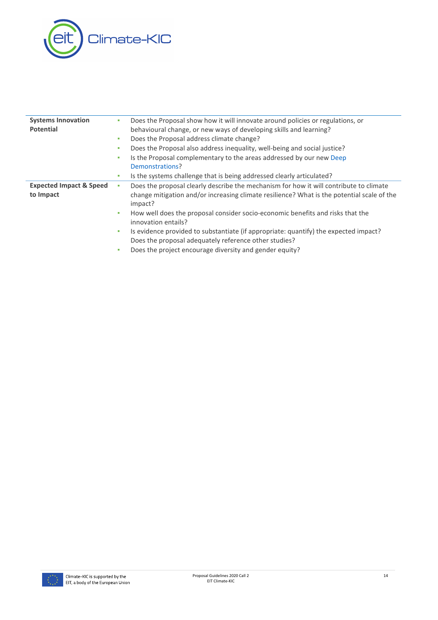

| <b>Systems Innovation</b>          | ٠  | Does the Proposal show how it will innovate around policies or regulations, or                                                                |
|------------------------------------|----|-----------------------------------------------------------------------------------------------------------------------------------------------|
| <b>Potential</b>                   |    | behavioural change, or new ways of developing skills and learning?                                                                            |
|                                    | ٠  | Does the Proposal address climate change?                                                                                                     |
|                                    | ٠  | Does the Proposal also address inequality, well-being and social justice?                                                                     |
|                                    | ٠  | Is the Proposal complementary to the areas addressed by our new Deep                                                                          |
|                                    |    | Demonstrations?                                                                                                                               |
|                                    | ٠  | Is the systems challenge that is being addressed clearly articulated?                                                                         |
| <b>Expected Impact &amp; Speed</b> | à, | Does the proposal clearly describe the mechanism for how it will contribute to climate                                                        |
| to Impact                          |    | change mitigation and/or increasing climate resilience? What is the potential scale of the<br>impact?                                         |
|                                    | ٠  | How well does the proposal consider socio-economic benefits and risks that the<br>innovation entails?                                         |
|                                    | ٠  | Is evidence provided to substantiate (if appropriate: quantify) the expected impact?<br>Does the proposal adequately reference other studies? |
|                                    | ٠  | Does the project encourage diversity and gender equity?                                                                                       |

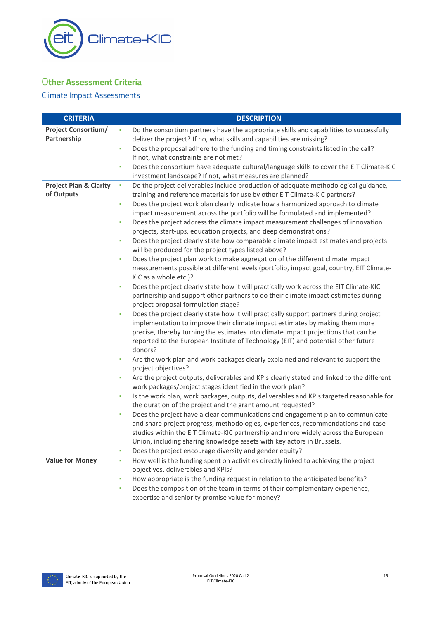

# <span id="page-14-0"></span>O**ther Assessment Criteria**

## Climate Impact Assessments

| <b>CRITERIA</b>                   | <b>DESCRIPTION</b>                                                                                                |
|-----------------------------------|-------------------------------------------------------------------------------------------------------------------|
| <b>Project Consortium/</b>        | Do the consortium partners have the appropriate skills and capabilities to successfully<br>à,                     |
| Partnership                       | deliver the project? If no, what skills and capabilities are missing?                                             |
|                                   | Does the proposal adhere to the funding and timing constraints listed in the call?<br>à,                          |
|                                   | If not, what constraints are not met?                                                                             |
|                                   | Does the consortium have adequate cultural/language skills to cover the EIT Climate-KIC<br>×                      |
|                                   | investment landscape? If not, what measures are planned?                                                          |
| <b>Project Plan &amp; Clarity</b> | Do the project deliverables include production of adequate methodological guidance,<br>٠                          |
| of Outputs                        | training and reference materials for use by other EIT Climate-KIC partners?                                       |
|                                   | Does the project work plan clearly indicate how a harmonized approach to climate<br>Ľ,                            |
|                                   | impact measurement across the portfolio will be formulated and implemented?                                       |
|                                   | Does the project address the climate impact measurement challenges of innovation<br>Ľ,                            |
|                                   | projects, start-ups, education projects, and deep demonstrations?                                                 |
|                                   | Does the project clearly state how comparable climate impact estimates and projects<br>Ì.                         |
|                                   | will be produced for the project types listed above?                                                              |
|                                   | Does the project plan work to make aggregation of the different climate impact<br>í.                              |
|                                   | measurements possible at different levels (portfolio, impact goal, country, EIT Climate-<br>KIC as a whole etc.)? |
|                                   | Does the project clearly state how it will practically work across the EIT Climate-KIC<br>٠                       |
|                                   | partnership and support other partners to do their climate impact estimates during                                |
|                                   | project proposal formulation stage?                                                                               |
|                                   | Does the project clearly state how it will practically support partners during project<br>×                       |
|                                   | implementation to improve their climate impact estimates by making them more                                      |
|                                   | precise, thereby turning the estimates into climate impact projections that can be                                |
|                                   | reported to the European Institute of Technology (EIT) and potential other future                                 |
|                                   | donors?                                                                                                           |
|                                   | Are the work plan and work packages clearly explained and relevant to support the<br>Ľ,                           |
|                                   | project objectives?                                                                                               |
|                                   | Are the project outputs, deliverables and KPIs clearly stated and linked to the different<br>×                    |
|                                   | work packages/project stages identified in the work plan?                                                         |
|                                   | Is the work plan, work packages, outputs, deliverables and KPIs targeted reasonable for<br>Ì.                     |
|                                   | the duration of the project and the grant amount requested?                                                       |
|                                   | Does the project have a clear communications and engagement plan to communicate<br>Ľ,                             |
|                                   | and share project progress, methodologies, experiences, recommendations and case                                  |
|                                   | studies within the EIT Climate-KIC partnership and more widely across the European                                |
|                                   | Union, including sharing knowledge assets with key actors in Brussels.                                            |
|                                   | Does the project encourage diversity and gender equity?<br>×,                                                     |
| <b>Value for Money</b>            | How well is the funding spent on activities directly linked to achieving the project<br>×                         |
|                                   | objectives, deliverables and KPIs?                                                                                |
|                                   | How appropriate is the funding request in relation to the anticipated benefits?<br>×                              |
|                                   | Does the composition of the team in terms of their complementary experience,<br>٠                                 |
|                                   | expertise and seniority promise value for money?                                                                  |

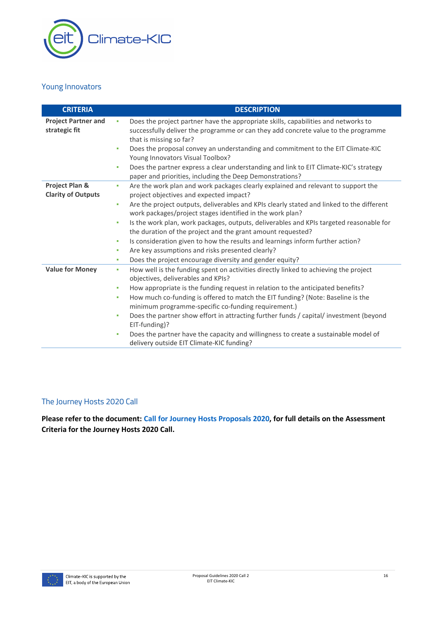

## Young Innovators

| <b>CRITERIA</b>                             | <b>DESCRIPTION</b>                                                                                                                                                                                                                                                                                                                                                                                                                                                                                                                                                                                                                                                                         |
|---------------------------------------------|--------------------------------------------------------------------------------------------------------------------------------------------------------------------------------------------------------------------------------------------------------------------------------------------------------------------------------------------------------------------------------------------------------------------------------------------------------------------------------------------------------------------------------------------------------------------------------------------------------------------------------------------------------------------------------------------|
| <b>Project Partner and</b><br>strategic fit | Does the project partner have the appropriate skills, capabilities and networks to<br>×<br>successfully deliver the programme or can they add concrete value to the programme<br>that is missing so far?<br>Does the proposal convey an understanding and commitment to the EIT Climate-KIC<br>٠<br>Young Innovators Visual Toolbox?<br>Does the partner express a clear understanding and link to EIT Climate-KIC's strategy<br>٠<br>paper and priorities, including the Deep Demonstrations?                                                                                                                                                                                             |
| Project Plan &<br><b>Clarity of Outputs</b> | Are the work plan and work packages clearly explained and relevant to support the<br>٠<br>project objectives and expected impact?<br>Are the project outputs, deliverables and KPIs clearly stated and linked to the different<br>$\mathbf{r}$<br>work packages/project stages identified in the work plan?<br>Is the work plan, work packages, outputs, deliverables and KPIs targeted reasonable for<br>٠<br>the duration of the project and the grant amount requested?<br>Is consideration given to how the results and learnings inform further action?<br>٠<br>Are key assumptions and risks presented clearly?<br>٠<br>Does the project encourage diversity and gender equity?<br>٠ |
| <b>Value for Money</b>                      | How well is the funding spent on activities directly linked to achieving the project<br>٠<br>objectives, deliverables and KPIs?<br>How appropriate is the funding request in relation to the anticipated benefits?<br>٠<br>How much co-funding is offered to match the EIT funding? (Note: Baseline is the<br>٠<br>minimum programme-specific co-funding requirement.)<br>Does the partner show effort in attracting further funds / capital/ investment (beyond<br>٠<br>EIT-funding)?<br>Does the partner have the capacity and willingness to create a sustainable model of<br>×<br>delivery outside EIT Climate-KIC funding?                                                            |

# The Journey Hosts 2020 Call

**Please refer to the document: [Call for Journey Hosts Proposals 2020,](https://www.climate-kic.org/wp-content/uploads/2019/10/Call-for-Journey-Host-Proposals-2020-1.pdf) for full details on the Assessment Criteria for the Journey Hosts 2020 Call.**

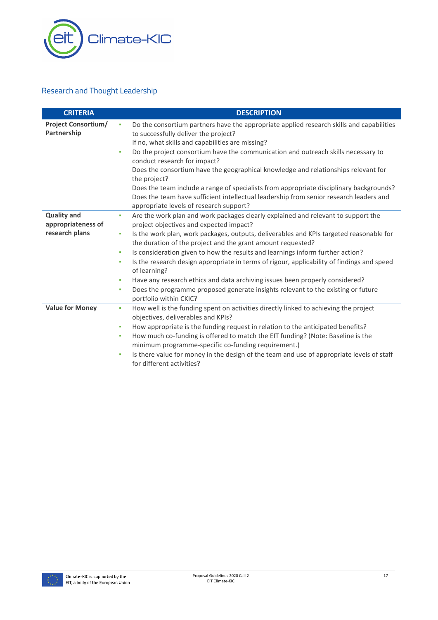

# Research and Thought Leadership

| <b>CRITERIA</b>                           | <b>DESCRIPTION</b>                                                                                                                                                                                                                                 |
|-------------------------------------------|----------------------------------------------------------------------------------------------------------------------------------------------------------------------------------------------------------------------------------------------------|
| <b>Project Consortium/</b><br>Partnership | Do the consortium partners have the appropriate applied research skills and capabilities<br>à,<br>to successfully deliver the project?<br>If no, what skills and capabilities are missing?                                                         |
|                                           | Do the project consortium have the communication and outreach skills necessary to<br>٠<br>conduct research for impact?<br>Does the consortium have the geographical knowledge and relationships relevant for<br>the project?                       |
|                                           | Does the team include a range of specialists from appropriate disciplinary backgrounds?<br>Does the team have sufficient intellectual leadership from senior research leaders and<br>appropriate levels of research support?                       |
| <b>Quality and</b><br>appropriateness of  | Are the work plan and work packages clearly explained and relevant to support the<br>×.<br>project objectives and expected impact?                                                                                                                 |
| research plans                            | Is the work plan, work packages, outputs, deliverables and KPIs targeted reasonable for<br>×<br>the duration of the project and the grant amount requested?<br>Is consideration given to how the results and learnings inform further action?<br>× |
|                                           | Is the research design appropriate in terms of rigour, applicability of findings and speed<br>×,<br>of learning?                                                                                                                                   |
|                                           | Have any research ethics and data archiving issues been properly considered?<br>a,<br>Does the programme proposed generate insights relevant to the existing or future<br>×,<br>portfolio within CKIC?                                             |
| <b>Value for Money</b>                    | How well is the funding spent on activities directly linked to achieving the project<br>٠<br>objectives, deliverables and KPIs?                                                                                                                    |
|                                           | How appropriate is the funding request in relation to the anticipated benefits?<br>×<br>How much co-funding is offered to match the EIT funding? (Note: Baseline is the<br>×,<br>minimum programme-specific co-funding requirement.)               |
|                                           | Is there value for money in the design of the team and use of appropriate levels of staff<br>à,<br>for different activities?                                                                                                                       |

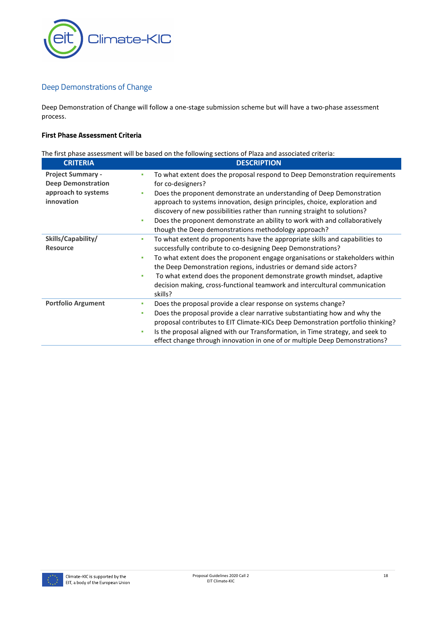

# Deep Demonstrations of Change

Deep Demonstration of Change will follow a one-stage submission scheme but will have a two-phase assessment process.

#### **First Phase Assessment Criteria**

|                                                                                            | The first phase assessment will be based on the following sections of Plaza and associated criteria:                                                                                                                                                                                                                                                                                                                                                                                      |
|--------------------------------------------------------------------------------------------|-------------------------------------------------------------------------------------------------------------------------------------------------------------------------------------------------------------------------------------------------------------------------------------------------------------------------------------------------------------------------------------------------------------------------------------------------------------------------------------------|
| <b>CRITERIA</b>                                                                            | <b>DESCRIPTION</b>                                                                                                                                                                                                                                                                                                                                                                                                                                                                        |
| <b>Project Summary -</b><br><b>Deep Demonstration</b><br>approach to systems<br>innovation | To what extent does the proposal respond to Deep Demonstration requirements<br>٠<br>for co-designers?<br>Does the proponent demonstrate an understanding of Deep Demonstration<br>٠<br>approach to systems innovation, design principles, choice, exploration and<br>discovery of new possibilities rather than running straight to solutions?<br>Does the proponent demonstrate an ability to work with and collaboratively<br>٠<br>though the Deep demonstrations methodology approach? |
| Skills/Capability/<br><b>Resource</b>                                                      | To what extent do proponents have the appropriate skills and capabilities to<br>٠<br>successfully contribute to co-designing Deep Demonstrations?<br>To what extent does the proponent engage organisations or stakeholders within<br>٠<br>the Deep Demonstration regions, industries or demand side actors?<br>To what extend does the proponent demonstrate growth mindset, adaptive<br>٠<br>decision making, cross-functional teamwork and intercultural communication<br>skills?      |
| <b>Portfolio Argument</b>                                                                  | Does the proposal provide a clear response on systems change?<br>٠<br>Does the proposal provide a clear narrative substantiating how and why the<br>٠<br>proposal contributes to EIT Climate-KICs Deep Demonstration portfolio thinking?<br>Is the proposal aligned with our Transformation, in Time strategy, and seek to<br>٠<br>effect change through innovation in one of or multiple Deep Demonstrations?                                                                            |

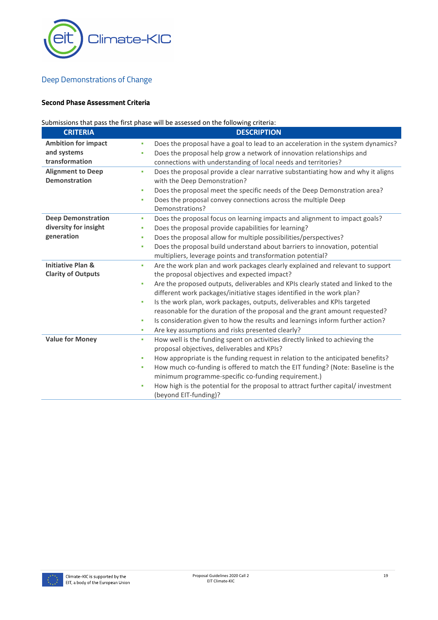

# Deep Demonstrations of Change

### **Second Phase Assessment Criteria**

# Submissions that pass the first phase will be assessed on the following criteria:

| <b>CRITERIA</b>              | <b>DESCRIPTION</b>                                                                     |
|------------------------------|----------------------------------------------------------------------------------------|
| <b>Ambition for impact</b>   | Does the proposal have a goal to lead to an acceleration in the system dynamics?<br>٠  |
| and systems                  | Does the proposal help grow a network of innovation relationships and<br>٠             |
| transformation               | connections with understanding of local needs and territories?                         |
| <b>Alignment to Deep</b>     | Does the proposal provide a clear narrative substantiating how and why it aligns<br>×. |
| <b>Demonstration</b>         | with the Deep Demonstration?                                                           |
|                              | Does the proposal meet the specific needs of the Deep Demonstration area?<br>٠         |
|                              | Does the proposal convey connections across the multiple Deep<br>٠                     |
|                              | Demonstrations?                                                                        |
| <b>Deep Demonstration</b>    | Does the proposal focus on learning impacts and alignment to impact goals?<br>٠        |
| diversity for insight        | Does the proposal provide capabilities for learning?<br>٠                              |
| generation                   | Does the proposal allow for multiple possibilities/perspectives?<br>٠                  |
|                              | Does the proposal build understand about barriers to innovation, potential<br>٠        |
|                              | multipliers, leverage points and transformation potential?                             |
| <b>Initiative Plan &amp;</b> | Are the work plan and work packages clearly explained and relevant to support<br>٠     |
| <b>Clarity of Outputs</b>    | the proposal objectives and expected impact?                                           |
|                              | Are the proposed outputs, deliverables and KPIs clearly stated and linked to the<br>٠  |
|                              | different work packages/initiative stages identified in the work plan?                 |
|                              | Is the work plan, work packages, outputs, deliverables and KPIs targeted<br>٠          |
|                              | reasonable for the duration of the proposal and the grant amount requested?            |
|                              | Is consideration given to how the results and learnings inform further action?<br>٠    |
|                              | Are key assumptions and risks presented clearly?<br>٠                                  |
| <b>Value for Money</b>       | How well is the funding spent on activities directly linked to achieving the<br>٠      |
|                              | proposal objectives, deliverables and KPIs?                                            |
|                              | How appropriate is the funding request in relation to the anticipated benefits?<br>٠   |
|                              | How much co-funding is offered to match the EIT funding? (Note: Baseline is the<br>٠   |
|                              | minimum programme-specific co-funding requirement.)                                    |
|                              | How high is the potential for the proposal to attract further capital/investment<br>٠  |
|                              | (beyond EIT-funding)?                                                                  |